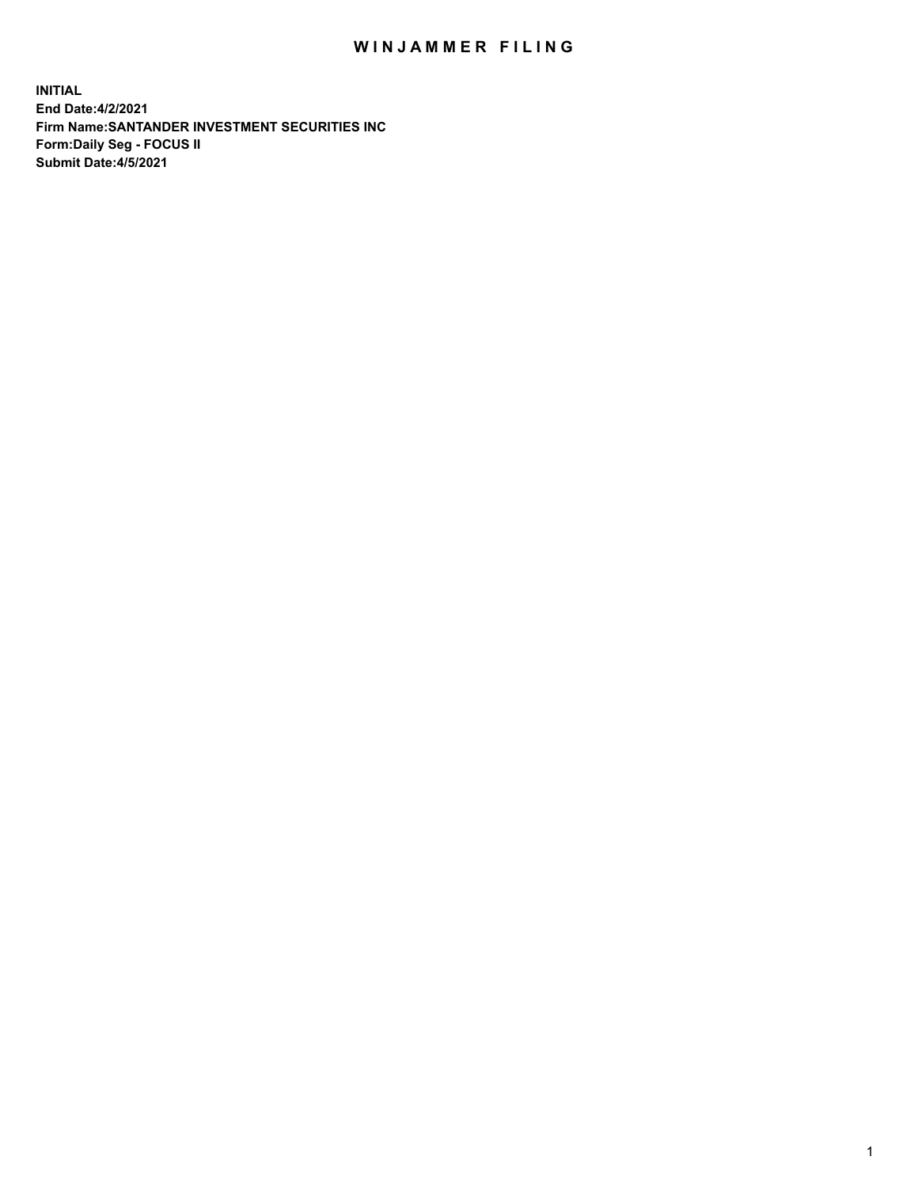## WIN JAMMER FILING

**INITIAL End Date:4/2/2021 Firm Name:SANTANDER INVESTMENT SECURITIES INC Form:Daily Seg - FOCUS II Submit Date:4/5/2021**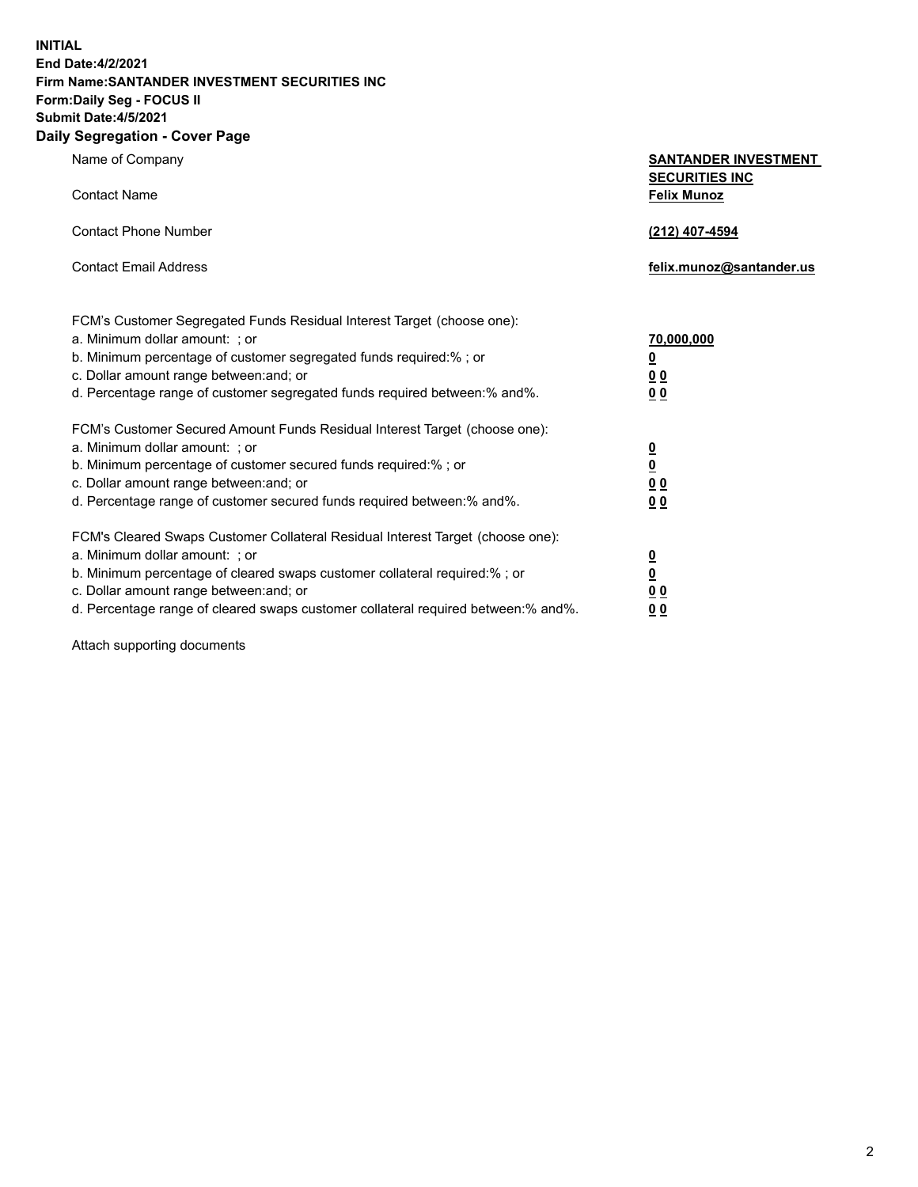**INITIAL End Date:4/2/2021 Firm Name:SANTANDER INVESTMENT SECURITIES INC Form:Daily Seg - FOCUS II Submit Date:4/5/2021 Daily Segregation - Cover Page**

Name of Company **SANTANDER INVESTMENT SECURITIES INC** Contact Name **Felix Munoz** Contact Phone Number **(212) 407-4594** Contact Email Address **felix.munoz@santander.us** FCM's Customer Segregated Funds Residual Interest Target (choose one): a. Minimum dollar amount: ; or **70,000,000** b. Minimum percentage of customer segregated funds required:% ; or **0** c. Dollar amount range between:and; or **0 0** d. Percentage range of customer segregated funds required between:% and%. **0 0** FCM's Customer Secured Amount Funds Residual Interest Target (choose one): a. Minimum dollar amount: ; or **0** b. Minimum percentage of customer secured funds required:% ; or **0** c. Dollar amount range between:and; or **0 0** d. Percentage range of customer secured funds required between:% and%. **0 0** FCM's Cleared Swaps Customer Collateral Residual Interest Target (choose one): a. Minimum dollar amount: ; or **0** b. Minimum percentage of cleared swaps customer collateral required:% ; or **0**

c. Dollar amount range between:and; or **0 0** d. Percentage range of cleared swaps customer collateral required between:% and%. **0 0**

Attach supporting documents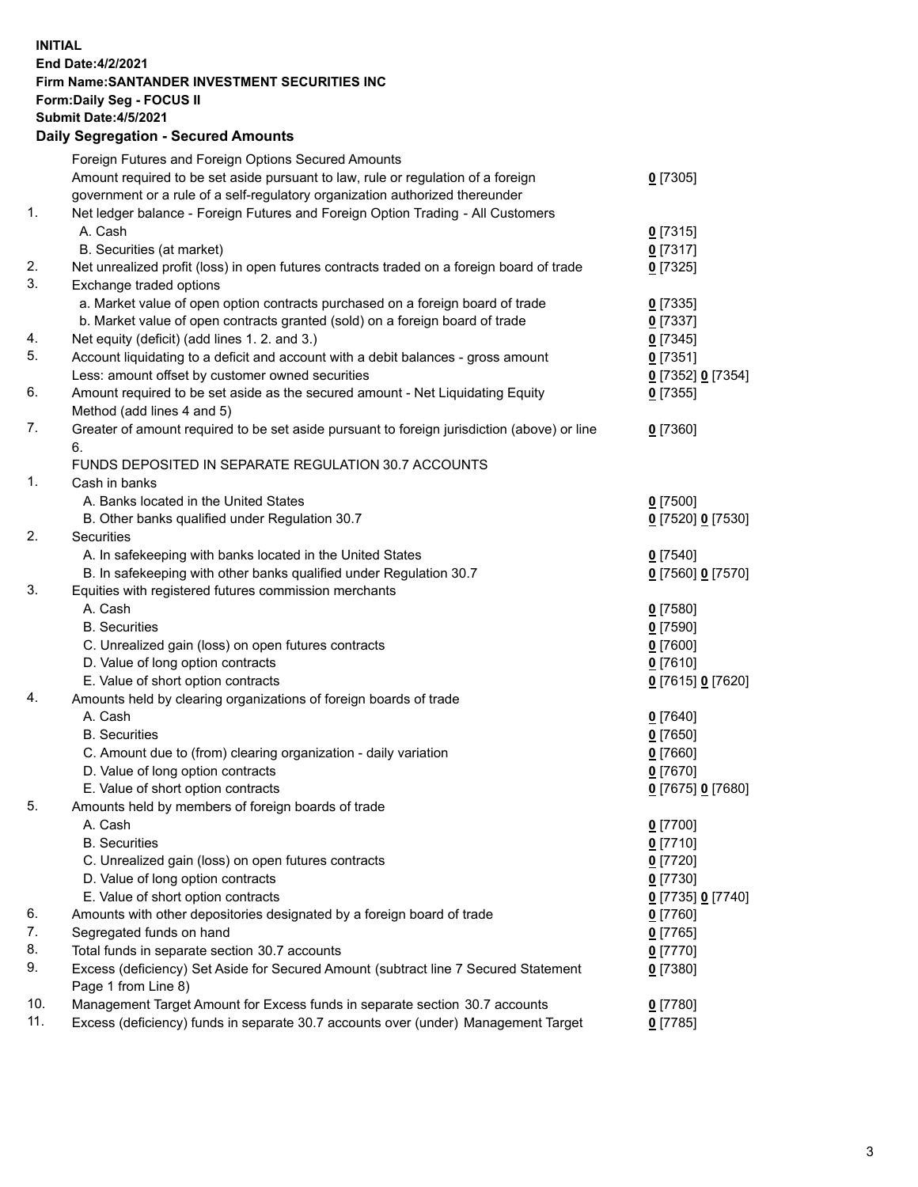## **INITIAL End Date:4/2/2021 Firm Name:SANTANDER INVESTMENT SECURITIES INC Form:Daily Seg - FOCUS II Submit Date:4/5/2021 Daily Segregation - Secured Amounts** Foreign Futures and Foreign Options Secured Amounts

|     | Foreign Futures and Foreign Options Secured Amounts                                         |                   |
|-----|---------------------------------------------------------------------------------------------|-------------------|
|     | Amount required to be set aside pursuant to law, rule or regulation of a foreign            | $0$ [7305]        |
|     | government or a rule of a self-regulatory organization authorized thereunder                |                   |
| 1.  | Net ledger balance - Foreign Futures and Foreign Option Trading - All Customers             |                   |
|     | A. Cash                                                                                     | $0$ [7315]        |
|     | B. Securities (at market)                                                                   | $0$ [7317]        |
| 2.  | Net unrealized profit (loss) in open futures contracts traded on a foreign board of trade   | $0$ [7325]        |
| 3.  | Exchange traded options                                                                     |                   |
|     | a. Market value of open option contracts purchased on a foreign board of trade              | $0$ [7335]        |
|     | b. Market value of open contracts granted (sold) on a foreign board of trade                | $0$ [7337]        |
| 4.  | Net equity (deficit) (add lines 1. 2. and 3.)                                               | $0$ [7345]        |
| 5.  | Account liquidating to a deficit and account with a debit balances - gross amount           | $0$ [7351]        |
|     | Less: amount offset by customer owned securities                                            | 0 [7352] 0 [7354] |
| 6.  | Amount required to be set aside as the secured amount - Net Liquidating Equity              | $0$ [7355]        |
|     | Method (add lines 4 and 5)                                                                  |                   |
| 7.  | Greater of amount required to be set aside pursuant to foreign jurisdiction (above) or line | $0$ [7360]        |
|     | 6.                                                                                          |                   |
|     | FUNDS DEPOSITED IN SEPARATE REGULATION 30.7 ACCOUNTS                                        |                   |
| 1.  | Cash in banks                                                                               |                   |
|     | A. Banks located in the United States                                                       | $0$ [7500]        |
|     | B. Other banks qualified under Regulation 30.7                                              | 0 [7520] 0 [7530] |
| 2.  | <b>Securities</b>                                                                           |                   |
|     | A. In safekeeping with banks located in the United States                                   |                   |
|     |                                                                                             | $0$ [7540]        |
|     | B. In safekeeping with other banks qualified under Regulation 30.7                          | 0 [7560] 0 [7570] |
| 3.  | Equities with registered futures commission merchants                                       |                   |
|     | A. Cash                                                                                     | $0$ [7580]        |
|     | <b>B.</b> Securities                                                                        | $0$ [7590]        |
|     | C. Unrealized gain (loss) on open futures contracts                                         | $0$ [7600]        |
|     | D. Value of long option contracts                                                           | $0$ [7610]        |
|     | E. Value of short option contracts                                                          | 0 [7615] 0 [7620] |
| 4.  | Amounts held by clearing organizations of foreign boards of trade                           |                   |
|     | A. Cash                                                                                     | $0$ [7640]        |
|     | <b>B.</b> Securities                                                                        | $0$ [7650]        |
|     | C. Amount due to (from) clearing organization - daily variation                             | $0$ [7660]        |
|     | D. Value of long option contracts                                                           | $0$ [7670]        |
|     | E. Value of short option contracts                                                          | 0 [7675] 0 [7680] |
| 5.  | Amounts held by members of foreign boards of trade                                          |                   |
|     | A. Cash                                                                                     | $0$ [7700]        |
|     | <b>B.</b> Securities                                                                        | $0$ [7710]        |
|     | C. Unrealized gain (loss) on open futures contracts                                         | $0$ [7720]        |
|     | D. Value of long option contracts                                                           | $0$ [7730]        |
|     | E. Value of short option contracts                                                          | 0 [7735] 0 [7740] |
| 6.  | Amounts with other depositories designated by a foreign board of trade                      | $0$ [7760]        |
| 7.  | Segregated funds on hand                                                                    | $0$ [7765]        |
| 8.  | Total funds in separate section 30.7 accounts                                               | $0$ [7770]        |
| 9.  | Excess (deficiency) Set Aside for Secured Amount (subtract line 7 Secured Statement         | 0 [7380]          |
|     | Page 1 from Line 8)                                                                         |                   |
| 10. | Management Target Amount for Excess funds in separate section 30.7 accounts                 | $0$ [7780]        |
| 11. | Excess (deficiency) funds in separate 30.7 accounts over (under) Management Target          | $0$ [7785]        |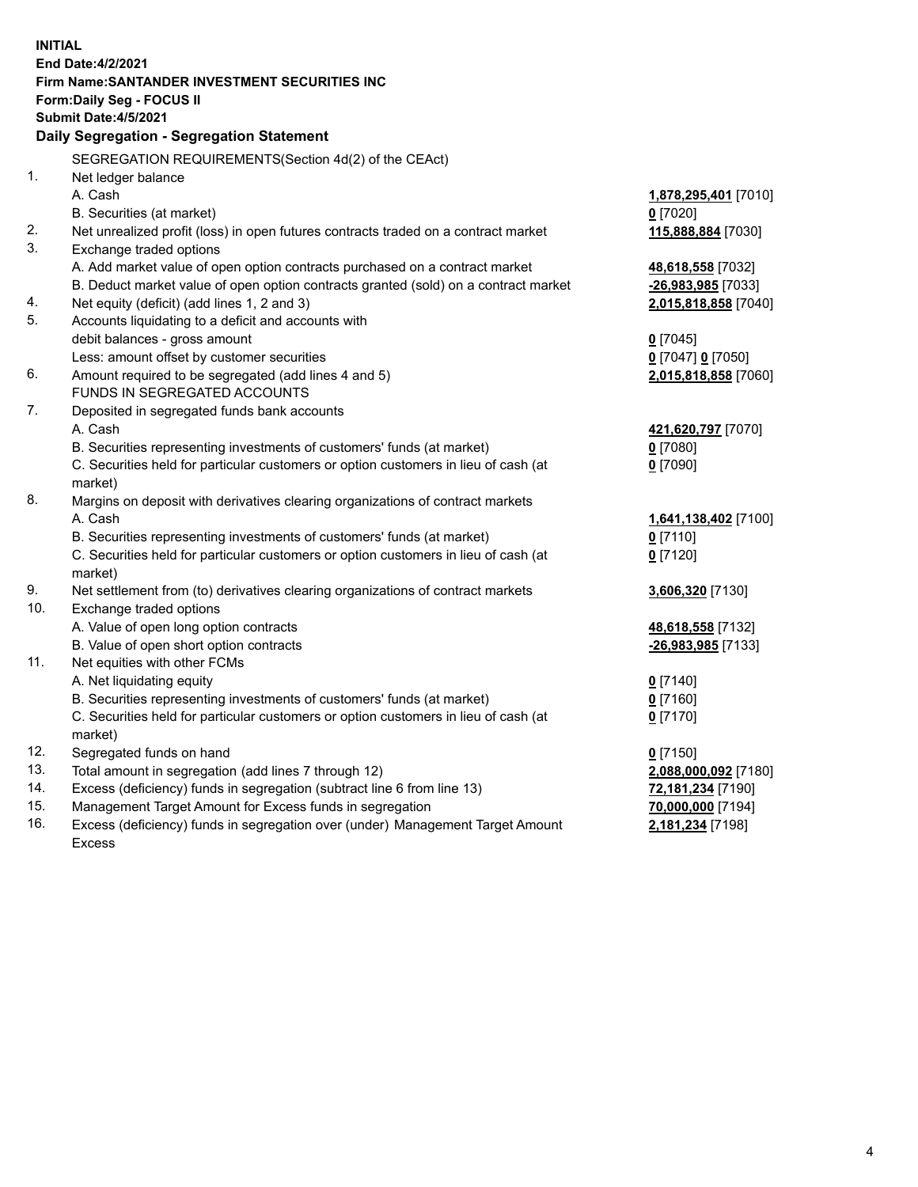| <b>INITIAL</b> |                                                                                                                 |                      |  |  |  |
|----------------|-----------------------------------------------------------------------------------------------------------------|----------------------|--|--|--|
|                | <b>End Date:4/2/2021</b>                                                                                        |                      |  |  |  |
|                | Firm Name: SANTANDER INVESTMENT SECURITIES INC                                                                  |                      |  |  |  |
|                | <b>Form:Daily Seg - FOCUS II</b><br>Submit Date: 4/5/2021                                                       |                      |  |  |  |
|                | Daily Segregation - Segregation Statement                                                                       |                      |  |  |  |
|                |                                                                                                                 |                      |  |  |  |
|                | SEGREGATION REQUIREMENTS(Section 4d(2) of the CEAct)                                                            |                      |  |  |  |
| 1.             | Net ledger balance                                                                                              |                      |  |  |  |
|                | A. Cash                                                                                                         | 1,878,295,401 [7010] |  |  |  |
| 2.             | B. Securities (at market)<br>Net unrealized profit (loss) in open futures contracts traded on a contract market | $0$ [7020]           |  |  |  |
| 3.             | Exchange traded options                                                                                         | 115,888,884 [7030]   |  |  |  |
|                | A. Add market value of open option contracts purchased on a contract market                                     | 48,618,558 [7032]    |  |  |  |
|                | B. Deduct market value of open option contracts granted (sold) on a contract market                             | -26,983,985 [7033]   |  |  |  |
| 4.             | Net equity (deficit) (add lines 1, 2 and 3)                                                                     | 2,015,818,858 [7040] |  |  |  |
| 5.             | Accounts liquidating to a deficit and accounts with                                                             |                      |  |  |  |
|                | debit balances - gross amount                                                                                   | $0$ [7045]           |  |  |  |
|                | Less: amount offset by customer securities                                                                      | 0 [7047] 0 [7050]    |  |  |  |
| 6.             | Amount required to be segregated (add lines 4 and 5)                                                            | 2,015,818,858 [7060] |  |  |  |
|                | FUNDS IN SEGREGATED ACCOUNTS                                                                                    |                      |  |  |  |
| 7.             | Deposited in segregated funds bank accounts                                                                     |                      |  |  |  |
|                | A. Cash                                                                                                         | 421,620,797 [7070]   |  |  |  |
|                | B. Securities representing investments of customers' funds (at market)                                          | $0$ [7080]           |  |  |  |
|                | C. Securities held for particular customers or option customers in lieu of cash (at                             | $0$ [7090]           |  |  |  |
|                | market)                                                                                                         |                      |  |  |  |
| 8.             | Margins on deposit with derivatives clearing organizations of contract markets                                  |                      |  |  |  |
|                | A. Cash                                                                                                         | 1,641,138,402 [7100] |  |  |  |
|                | B. Securities representing investments of customers' funds (at market)                                          | $0$ [7110]           |  |  |  |
|                | C. Securities held for particular customers or option customers in lieu of cash (at                             | $0$ [7120]           |  |  |  |
|                | market)                                                                                                         |                      |  |  |  |
| 9.<br>10.      | Net settlement from (to) derivatives clearing organizations of contract markets                                 | 3,606,320 [7130]     |  |  |  |
|                | Exchange traded options<br>A. Value of open long option contracts                                               | 48,618,558 [7132]    |  |  |  |
|                | B. Value of open short option contracts                                                                         | -26,983,985 [7133]   |  |  |  |
| 11.            | Net equities with other FCMs                                                                                    |                      |  |  |  |
|                | A. Net liquidating equity                                                                                       | $0$ [7140]           |  |  |  |
|                | B. Securities representing investments of customers' funds (at market)                                          | $0$ [7160]           |  |  |  |
|                | C. Securities held for particular customers or option customers in lieu of cash (at                             | $0$ [7170]           |  |  |  |
|                | market)                                                                                                         |                      |  |  |  |
| 12.            | Segregated funds on hand                                                                                        | $0$ [7150]           |  |  |  |
| 13.            | Total amount in segregation (add lines 7 through 12)                                                            | 2,088,000,092 [7180] |  |  |  |
| 14.            | Excess (deficiency) funds in segregation (subtract line 6 from line 13)                                         | 72,181,234 [7190]    |  |  |  |
| 15.            | Management Target Amount for Excess funds in segregation                                                        | 70,000,000 [7194]    |  |  |  |
| 16.            | Excess (deficiency) funds in segregation over (under) Management Target Amount                                  | 2,181,234 [7198]     |  |  |  |
|                | <b>Excess</b>                                                                                                   |                      |  |  |  |